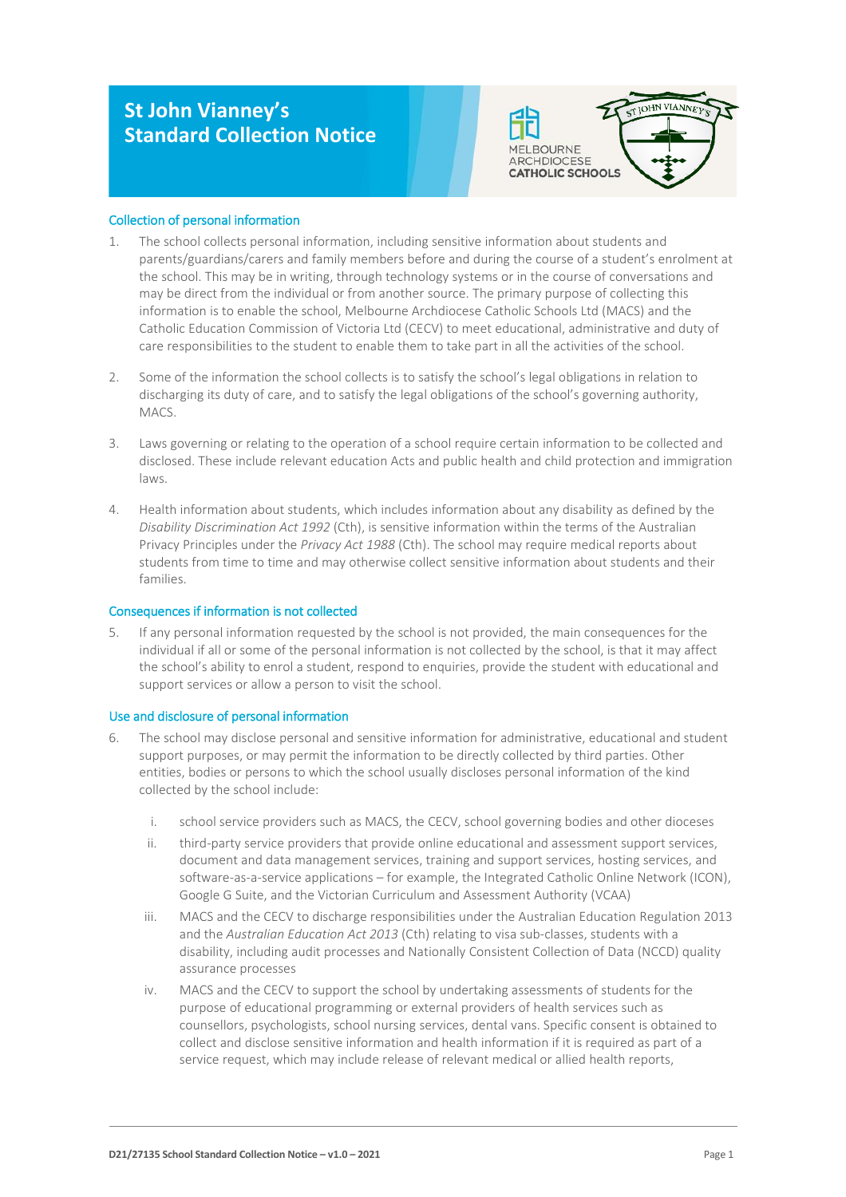# **St John Vianney's Standard Collection Notice**



# Collection of personal information

- 1. The school collects personal information, including sensitive information about students and parents/guardians/carers and family members before and during the course of a student's enrolment at the school. This may be in writing, through technology systems or in the course of conversations and may be direct from the individual or from another source. The primary purpose of collecting this information is to enable the school, Melbourne Archdiocese Catholic Schools Ltd (MACS) and the Catholic Education Commission of Victoria Ltd (CECV) to meet educational, administrative and duty of care responsibilities to the student to enable them to take part in all the activities of the school.
- 2. Some of the information the school collects is to satisfy the school's legal obligations in relation to discharging its duty of care, and to satisfy the legal obligations of the school's governing authority, MACS.
- 3. Laws governing or relating to the operation of a school require certain information to be collected and disclosed. These include relevant education Acts and public health and child protection and immigration laws.
- 4. Health information about students, which includes information about any disability as defined by the *Disability Discrimination Act 1992* (Cth), is sensitive information within the terms of the Australian Privacy Principles under the *Privacy Act 1988* (Cth). The school may require medical reports about students from time to time and may otherwise collect sensitive information about students and their families.

# Consequences if information is not collected

5. If any personal information requested by the school is not provided, the main consequences for the individual if all or some of the personal information is not collected by the school, is that it may affect the school's ability to enrol a student, respond to enquiries, provide the student with educational and support services or allow a person to visit the school.

# Use and disclosure of personal information

- 6. The school may disclose personal and sensitive information for administrative, educational and student support purposes, or may permit the information to be directly collected by third parties. Other entities, bodies or persons to which the school usually discloses personal information of the kind collected by the school include:
	- i. school service providers such as MACS, the CECV, school governing bodies and other dioceses
	- ii. third-party service providers that provide online educational and assessment support services, document and data management services, training and support services, hosting services, and software-as-a-service applications – for example, the Integrated Catholic Online Network (ICON), Google G Suite, and the Victorian Curriculum and Assessment Authority (VCAA)
	- iii. MACS and the CECV to discharge responsibilities under the Australian Education Regulation 2013 and the *Australian Education Act 2013* (Cth) relating to visa sub-classes, students with a disability, including audit processes and Nationally Consistent Collection of Data (NCCD) quality assurance processes
	- iv. MACS and the CECV to support the school by undertaking assessments of students for the purpose of educational programming or external providers of health services such as counsellors, psychologists, school nursing services, dental vans. Specific consent is obtained to collect and disclose sensitive information and health information if it is required as part of a service request, which may include release of relevant medical or allied health reports,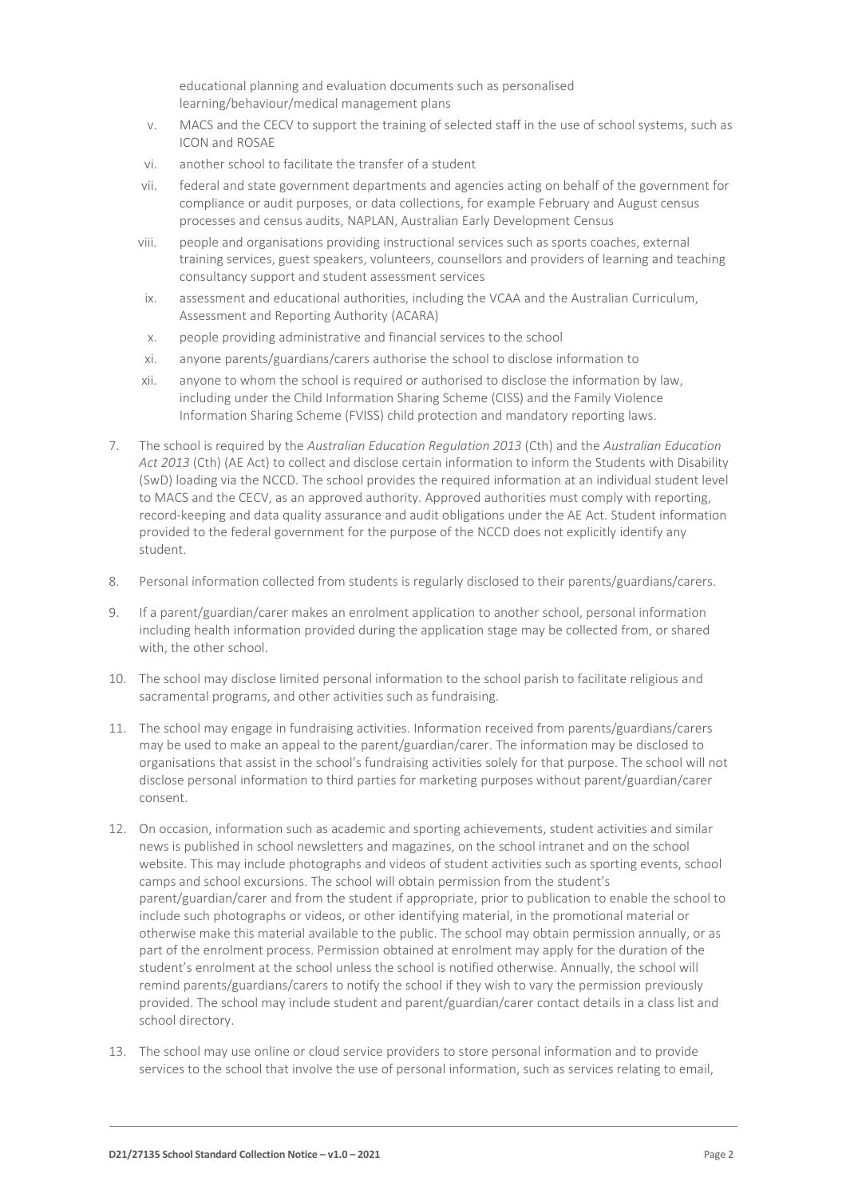educational planning and evaluation documents such as personalised learning/behaviour/medical management plans

- v. MACS and the CECV to support the training of selected staff in the use of school systems, such as ICON and ROSAE
- vi. another school to facilitate the transfer of a student
- vii. federal and state government departments and agencies acting on behalf of the government for compliance or audit purposes, or data collections, for example February and August census processes and census audits, NAPLAN, Australian Early Development Census
- viii. people and organisations providing instructional services such as sports coaches, external training services, guest speakers, volunteers, counsellors and providers of learning and teaching consultancy support and student assessment services
- ix. assessment and educational authorities, including the VCAA and the Australian Curriculum, Assessment and Reporting Authority (ACARA)
- x. people providing administrative and financial services to the school
- xi. anyone parents/guardians/carers authorise the school to disclose information to
- xii. anyone to whom the school is required or authorised to disclose the information by law, including under the Child Information Sharing Scheme (CISS) and the Family Violence Information Sharing Scheme (FVISS) child protection and mandatory reporting laws.
- 7. The school is required by the *Australian Education Regulation 2013* (Cth) and the *Australian Education Act 2013* (Cth) (AE Act) to collect and disclose certain information to inform the Students with Disability (SwD) loading via the NCCD. The school provides the required information at an individual student level to MACS and the CECV, as an approved authority. Approved authorities must comply with reporting, record-keeping and data quality assurance and audit obligations under the AE Act. Student information provided to the federal government for the purpose of the NCCD does not explicitly identify any student.
- 8. Personal information collected from students is regularly disclosed to their parents/guardians/carers.
- 9. If a parent/guardian/carer makes an enrolment application to another school, personal information including health information provided during the application stage may be collected from, or shared with, the other school.
- 10. The school may disclose limited personal information to the school parish to facilitate religious and sacramental programs, and other activities such as fundraising.
- 11. The school may engage in fundraising activities. Information received from parents/guardians/carers may be used to make an appeal to the parent/guardian/carer. The information may be disclosed to organisations that assist in the school's fundraising activities solely for that purpose. The school will not disclose personal information to third parties for marketing purposes without parent/guardian/carer consent.
- 12. On occasion, information such as academic and sporting achievements, student activities and similar news is published in school newsletters and magazines, on the school intranet and on the school website. This may include photographs and videos of student activities such as sporting events, school camps and school excursions. The school will obtain permission from the student's parent/guardian/carer and from the student if appropriate, prior to publication to enable the school to include such photographs or videos, or other identifying material, in the promotional material or otherwise make this material available to the public. The school may obtain permission annually, or as part of the enrolment process. Permission obtained at enrolment may apply for the duration of the student's enrolment at the school unless the school is notified otherwise. Annually, the school will remind parents/guardians/carers to notify the school if they wish to vary the permission previously provided. The school may include student and parent/guardian/carer contact details in a class list and school directory.
- 13. The school may use online or cloud service providers to store personal information and to provide services to the school that involve the use of personal information, such as services relating to email,